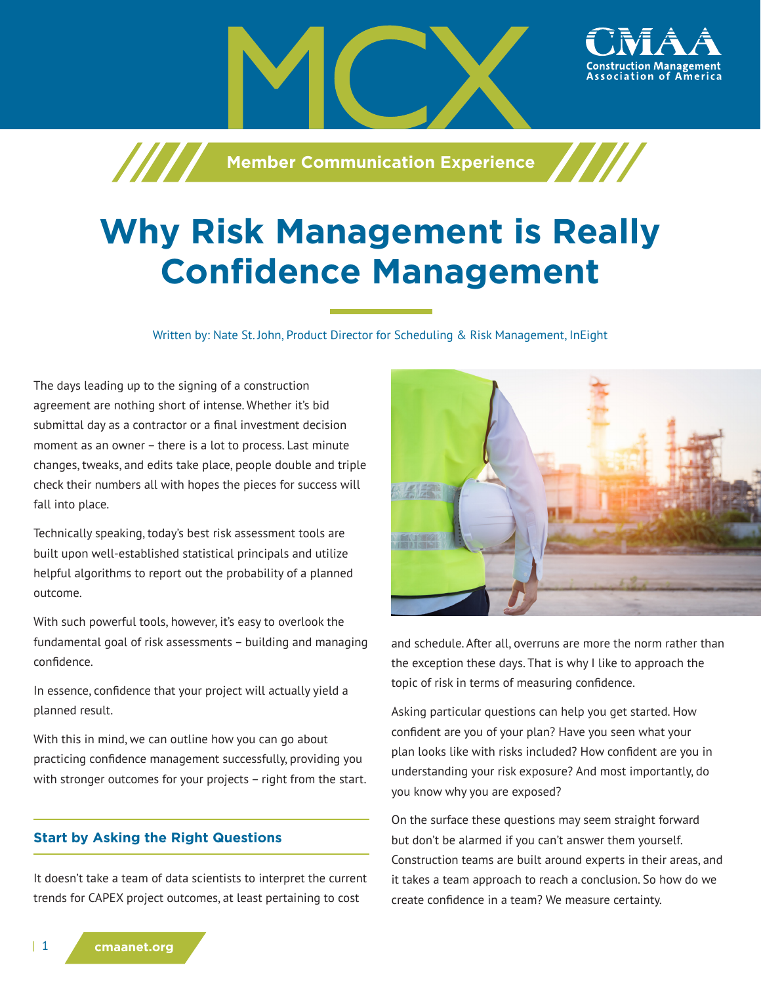**Member Communication Experience**

# **Why Risk Management is Really Confidence Management**

Written by: Nate St. John, Product Director for Scheduling & Risk Management, InEight

The days leading up to the signing of a construction agreement are nothing short of intense. Whether it's bid submittal day as a contractor or a final investment decision moment as an owner – there is a lot to process. Last minute changes, tweaks, and edits take place, people double and triple check their numbers all with hopes the pieces for success will fall into place.

/////

Technically speaking, today's best risk assessment tools are built upon well-established statistical principals and utilize helpful algorithms to report out the probability of a planned outcome.

With such powerful tools, however, it's easy to overlook the fundamental goal of risk assessments – building and managing confidence.

In essence, confidence that your project will actually yield a planned result.

With this in mind, we can outline how you can go about practicing confidence management successfully, providing you with stronger outcomes for your projects – right from the start.

## **Start by Asking the Right Questions**

It doesn't take a team of data scientists to interpret the current trends for CAPEX project outcomes, at least pertaining to cost



and schedule. After all, overruns are more the norm rather than the exception these days. That is why I like to approach the topic of risk in terms of measuring confidence.

Asking particular questions can help you get started. How confident are you of your plan? Have you seen what your plan looks like with risks included? How confident are you in understanding your risk exposure? And most importantly, do you know why you are exposed?

On the surface these questions may seem straight forward but don't be alarmed if you can't answer them yourself. Construction teams are built around experts in their areas, and it takes a team approach to reach a conclusion. So how do we create confidence in a team? We measure certainty.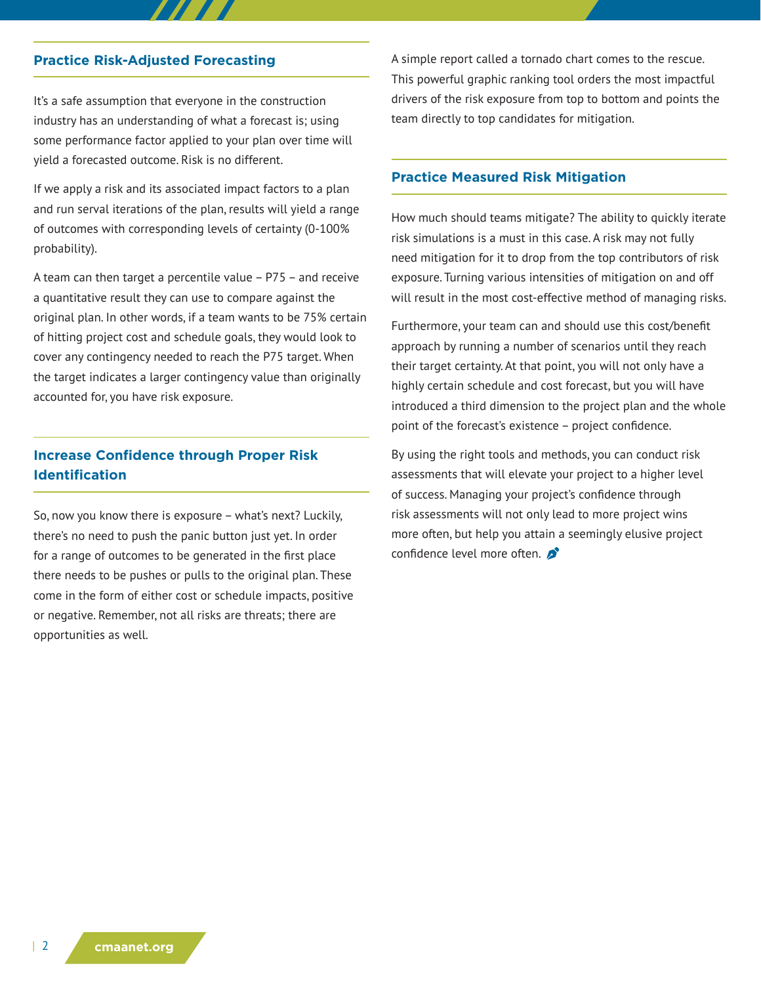## **Practice Risk-Adjusted Forecasting**

It's a safe assumption that everyone in the construction industry has an understanding of what a forecast is; using some performance factor applied to your plan over time will yield a forecasted outcome. Risk is no different.

If we apply a risk and its associated impact factors to a plan and run serval iterations of the plan, results will yield a range of outcomes with corresponding levels of certainty (0-100% probability).

A team can then target a percentile value – P75 – and receive a quantitative result they can use to compare against the original plan. In other words, if a team wants to be 75% certain of hitting project cost and schedule goals, they would look to cover any contingency needed to reach the P75 target. When the target indicates a larger contingency value than originally accounted for, you have risk exposure.

## **Increase Confidence through Proper Risk Identification**

So, now you know there is exposure – what's next? Luckily, there's no need to push the panic button just yet. In order for a range of outcomes to be generated in the first place there needs to be pushes or pulls to the original plan. These come in the form of either cost or schedule impacts, positive or negative. Remember, not all risks are threats; there are opportunities as well.

A simple report called a tornado chart comes to the rescue. This powerful graphic ranking tool orders the most impactful drivers of the risk exposure from top to bottom and points the team directly to top candidates for mitigation.

## **Practice Measured Risk Mitigation**

How much should teams mitigate? The ability to quickly iterate risk simulations is a must in this case. A risk may not fully need mitigation for it to drop from the top contributors of risk exposure. Turning various intensities of mitigation on and off will result in the most cost-effective method of managing risks.

Furthermore, your team can and should use this cost/benefit approach by running a number of scenarios until they reach their target certainty. At that point, you will not only have a highly certain schedule and cost forecast, but you will have introduced a third dimension to the project plan and the whole point of the forecast's existence – project confidence.

By using the right tools and methods, you can conduct risk assessments that will elevate your project to a higher level of success. Managing your project's confidence through risk assessments will not only lead to more project wins more often, but help you attain a seemingly elusive project confidence level more often.